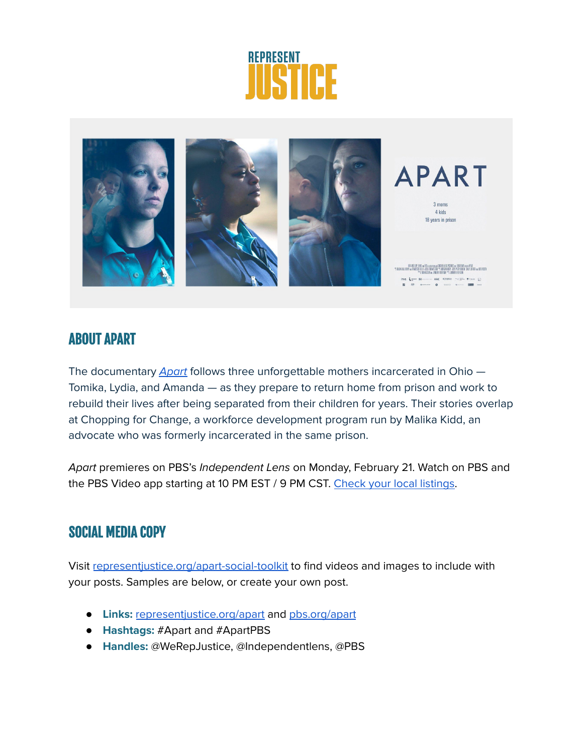



# ABOUT APART

The documentary [Apart](http://representjustice.org/apart) follows three unforgettable mothers incarcerated in Ohio -Tomika, Lydia, and Amanda — as they prepare to return home from prison and work to rebuild their lives after being separated from their children for years. Their stories overlap at Chopping for Change, a workforce development program run by Malika Kidd, an advocate who was formerly incarcerated in the same prison.

Apart premieres on PBS's Independent Lens on Monday, February 21. Watch on PBS and the PBS Video app starting at 10 PM EST / 9 PM CST. Check your local [listings.](https://www.pbs.org/independentlens/documentaries/apart/)

# SOCIAL MEDIA COPY

Visit [representjustice.org/apart-social-toolkit](https://www.representjustice.org/apart-social-toolkit/) to find videos and images to include with your posts. Samples are below, or create your own post.

- **Links:** [representjustice.org/apart](http://representjustice.org/apart) and [pbs.org/apart](http://pbs.org/apart)
- **Hashtags:** #Apart and #ApartPBS
- **Handles:** @WeRepJustice, @Independentlens, @PBS